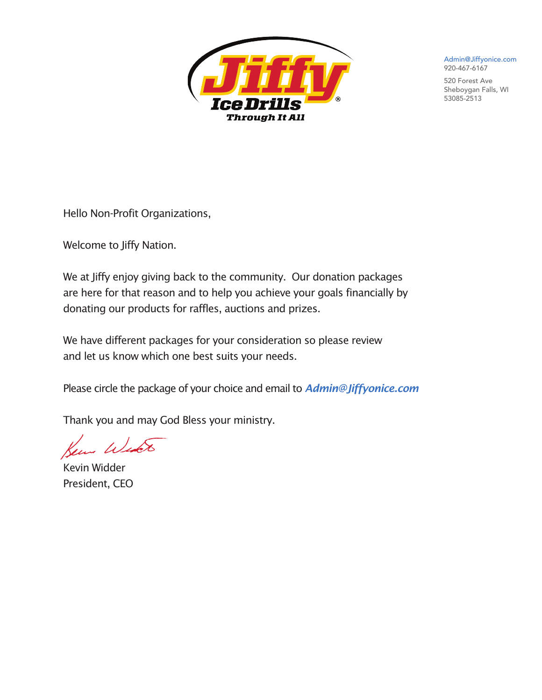

Admin@Jiffyonice.com 920-467-6167

520 Forest Ave Sheboygan Falls, WI 53085-2513

Hello Non-Profit Organizations,

Welcome to Jiffy Nation.

We at Jiffy enjoy giving back to the community. Our donation packages are here for that reason and to help you achieve your goals financially by donating our products for raffles, auctions and prizes.

We have different packages for your consideration so please review and let us know which one best suits your needs.

Please circle the package of your choice and email to *Admin@Jiffyonice.com*

Thank you and may God Bless your ministry.

y Wyso

Kevin Widder President, CEO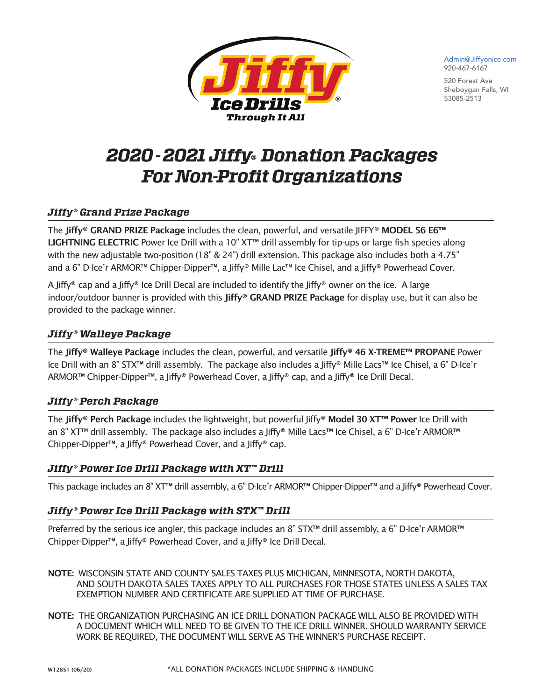

Admin@Jiffyonice.com 920-467-6167

520 Forest Ave Sheboygan Falls, WI 53085-2513

# *2020-2021 Jiffy® Donation Packages For Non-Profit Organizations*

## *Jiffy® Grand Prize Package*

The Jiffy® GRAND PRIZE Package includes the clean, powerful, and versatile JIFFY® MODEL 56 E6™ LIGHTNING ELECTRIC Power Ice Drill with a 10" XT™ drill assembly for tip-ups or large fish species along with the new adjustable two-position (18" & 24") drill extension. This package also includes both a 4.75" and a 6" D-Ice'r ARMOR<sup>™</sup> Chipper-Dipper<sup>™</sup>, a Jiffy® Mille Lac<sup>™</sup> Ice Chisel, and a Jiffy® Powerhead Cover.

A Jiffy® cap and a Jiffy® Ice Drill Decal are included to identify the Jiffy® owner on the ice. A large indoor/outdoor banner is provided with this Jiffy® GRAND PRIZE Package for display use, but it can also be provided to the package winner.

### *Jiffy® Walleye Package*

The Jiffy® Walleye Package includes the clean, powerful, and versatile Jiffy® 46 X-TREME™ PROPANE Power Ice Drill with an 8" STX™ drill assembly. The package also includes a Jiffy® Mille Lacs™ Ice Chisel, a 6" D-Ice'r ARMOR™ Chipper-Dipper™, a Jiffy® Powerhead Cover, a Jiffy® cap, and a Jiffy® Ice Drill Decal.

## *Jiffy® Perch Package*

The Jiffy® Perch Package includes the lightweight, but powerful Jiffy® Model 30 XT™ Power Ice Drill with an 8" XT™ drill assembly. The package also includes a Jiffy® Mille Lacs™ Ice Chisel, a 6" D-Ice'r ARMOR™ Chipper-Dipper™, a Jiffy® Powerhead Cover, and a Jiffy® cap.

#### *Jiffy® Power Ice Drill Package with XT™ Drill*

This package includes an 8" XT™ drill assembly, a 6" D-Ice'r ARMOR™ Chipper-Dipper™ and a Jiffy® Powerhead Cover.

#### *Jiffy® Power Ice Drill Package with STX™ Drill*

Preferred by the serious ice angler, this package includes an 8" STX™ drill assembly, a 6" D-Ice'r ARMOR™ Chipper-Dipper™, a Jiffy® Powerhead Cover, and a Jiffy® Ice Drill Decal.

- NOTE: WISCONSIN STATE AND COUNTY SALES TAXES PLUS MICHIGAN, MINNESOTA, NORTH DAKOTA, AND SOUTH DAKOTA SALES TAXES APPLY TO ALL PURCHASES FOR THOSE STATES UNLESS A SALES TAX EXEMPTION NUMBER AND CERTIFICATE ARE SUPPLIED AT TIME OF PURCHASE.
- NOTE: THE ORGANIZATION PURCHASING AN ICE DRILL DONATION PACKAGE WILL ALSO BE PROVIDED WITH A DOCUMENT WHICH WILL NEED TO BE GIVEN TO THE ICE DRILL WINNER. SHOULD WARRANTY SERVICE WORK BE REQUIRED, THE DOCUMENT WILL SERVE AS THE WINNER'S PURCHASE RECEIPT.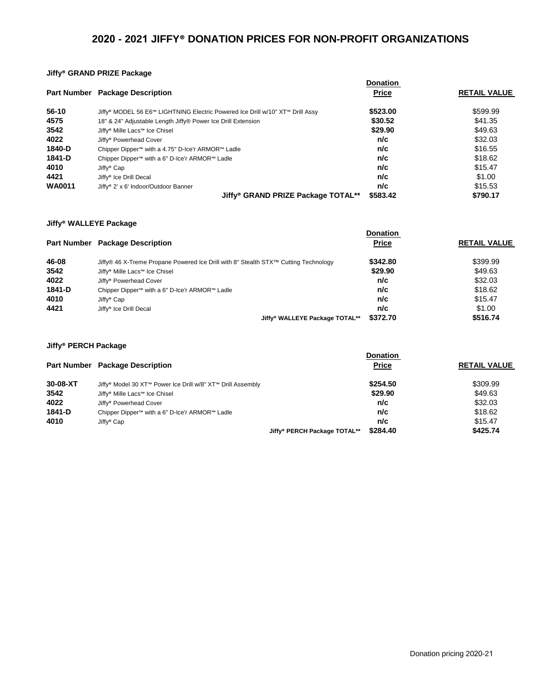### **2020 - 2021 JIFFY® DONATION PRICES FOR NON-PROFIT ORGANIZATIONS**

#### **Jiffy® GRAND PRIZE Package**

|               |                                                                               | <b>Donation</b> |                     |
|---------------|-------------------------------------------------------------------------------|-----------------|---------------------|
|               | <b>Part Number Package Description</b>                                        | <b>Price</b>    | <b>RETAIL VALUE</b> |
| 56-10         | Jiffy® MODEL 56 E6™ LIGHTNING Electric Powered Ice Drill w/10" XT™ Drill Assy | \$523,00        | \$599.99            |
| 4575          | 18" & 24" Adjustable Length Jiffy® Power Ice Drill Extension                  | \$30.52         | \$41.35             |
| 3542          | Jiffy <sup>®</sup> Mille Lacs™ Ice Chisel                                     | \$29.90         | \$49.63             |
| 4022          | Jiffy <sup>®</sup> Powerhead Cover                                            | n/c             | \$32.03             |
| 1840-D        | Chipper Dipper <sup>™</sup> with a 4.75" D-Ice'r ARMOR™ Ladle                 | n/c             | \$16.55             |
| 1841-D        | Chipper Dipper™ with a 6" D-Ice'r ARMOR™ Ladle                                | n/c             | \$18.62             |
| 4010          | Jiffy <sup>®</sup> Cap                                                        | n/c             | \$15.47             |
| 4421          | Jiffy <sup>®</sup> Ice Drill Decal                                            | n/c             | \$1.00              |
| <b>WA0011</b> | Jiffy <sup>®</sup> 2' x 6' Indoor/Outdoor Banner                              | n/c             | \$15.53             |
|               | Jiffy <sup>®</sup> GRAND PRIZE Package TOTAL**<br>\$583.42                    |                 | \$790.17            |

#### **Jiffy® WALLEYE Package**

|        |                                                                                                 | <b>Donation</b> |                     |
|--------|-------------------------------------------------------------------------------------------------|-----------------|---------------------|
|        | <b>Part Number Package Description</b>                                                          | <b>Price</b>    | <b>RETAIL VALUE</b> |
| 46-08  | Jiffy® 46 X-Treme Propane Powered Ice Drill with 8" Stealth STX <sup>™</sup> Cutting Technology | \$342.80        | \$399.99            |
| 3542   | Jiffy <sup>®</sup> Mille Lacs™ Ice Chisel                                                       | \$29.90         | \$49.63             |
| 4022   | Jiffy <sup>®</sup> Powerhead Cover                                                              | n/c             | \$32.03             |
| 1841-D | Chipper Dipper™ with a 6" D-Ice'r ARMOR™ Ladle                                                  | n/c             | \$18.62             |
| 4010   | Jiffy <sup>®</sup> Cap                                                                          | n/c             | \$15.47             |
| 4421   | Jiffy <sup>®</sup> Ice Drill Decal                                                              | n/c             | \$1.00              |
|        | Jiffy <sup>®</sup> WALLEYE Package TOTAL**                                                      | \$372.70        | \$516.74            |

÷.

#### **Jiffy® PERCH Package Part Number Package Description Donation Price RETAIL VALUE 30-08-XT** Jiffy® Model 30 XT™ Power Ice Drill w/8" XT™ Drill Assembly **\$254.50** \$309.99 **3542** Jiffy® Mille Lacs™ Ice Chisel **\$29.90** \$49.63 **4022** Jiffy® Powerhead Cover **n/c** \$32.03 **1841-D** Chipper Dipper™ with a 6" D-Ice'r ARMOR™ Ladle **n/c n/c n/c** \$18.62<br>**4010** Jiffy® Cap **515.47 4010** Jiffy® Cap **n/c** \$15.47 **Jiffy® PERCH Package TOTAL\*\* \$284.40 \$425.74**